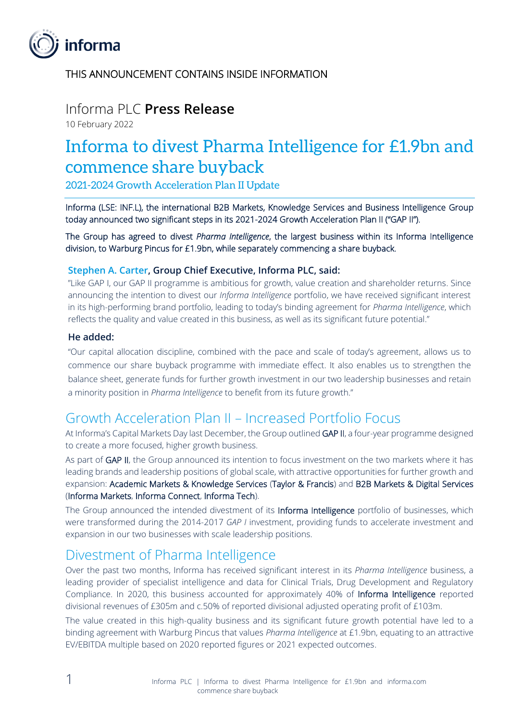

THIS ANNOUNCEMENT CONTAINS INSIDE INFORMATION

# Informa PLC **Press Release**

10 February 2022

# Informa to divest Pharma Intelligence for £1.9bn and commence share buyback

2021-2024 Growth Acceleration Plan II Update

Informa (LSE: INF.L), the international B2B Markets, Knowledge Services and Business Intelligence Group today announced two significant steps in its 2021-2024 Growth Acceleration Plan II ("GAP II").

The Group has agreed to divest *Pharma Intelligence*, the largest business within its Informa Intelligence division, to Warburg Pincus for £1.9bn, while separately commencing a share buyback.

#### **Stephen A. Carter, Group Chief Executive, Informa PLC, said:**

"Like GAP I, our GAP II programme is ambitious for growth, value creation and shareholder returns. Since announcing the intention to divest our *Informa Intelligence* portfolio, we have received significant interest in its high-performing brand portfolio, leading to today's binding agreement for *Pharma Intelligence*, which reflects the quality and value created in this business, as well as its significant future potential."

#### **He added:**

"Our capital allocation discipline, combined with the pace and scale of today's agreement, allows us to commence our share buyback programme with immediate effect. It also enables us to strengthen the balance sheet, generate funds for further growth investment in our two leadership businesses and retain a minority position in *Pharma Intelligence* to benefit from its future growth."

### Growth Acceleration Plan II – Increased Portfolio Focus

At Informa's Capital Markets Day last December, the Group outlined GAP II, a four-year programme designed to create a more focused, higher growth business.

As part of GAP II, the Group announced its intention to focus investment on the two markets where it has leading brands and leadership positions of global scale, with attractive opportunities for further growth and expansion: Academic Markets & Knowledge Services (Taylor & Francis) and B2B Markets & Digital Services (Informa Markets, Informa Connect, Informa Tech).

The Group announced the intended divestment of its Informa Intelligence portfolio of businesses, which were transformed during the 2014-2017 *GAP I* investment, providing funds to accelerate investment and expansion in our two businesses with scale leadership positions.

### Divestment of Pharma Intelligence

Over the past two months, Informa has received significant interest in its *Pharma Intelligence* business, a leading provider of specialist intelligence and data for Clinical Trials, Drug Development and Regulatory Compliance. In 2020, this business accounted for approximately 40% of Informa Intelligence reported divisional revenues of £305m and c.50% of reported divisional adjusted operating profit of £103m.

The value created in this high-quality business and its significant future growth potential have led to a binding agreement with Warburg Pincus that values *Pharma Intelligence* at £1.9bn, equating to an attractive EV/EBITDA multiple based on 2020 reported figures or 2021 expected outcomes.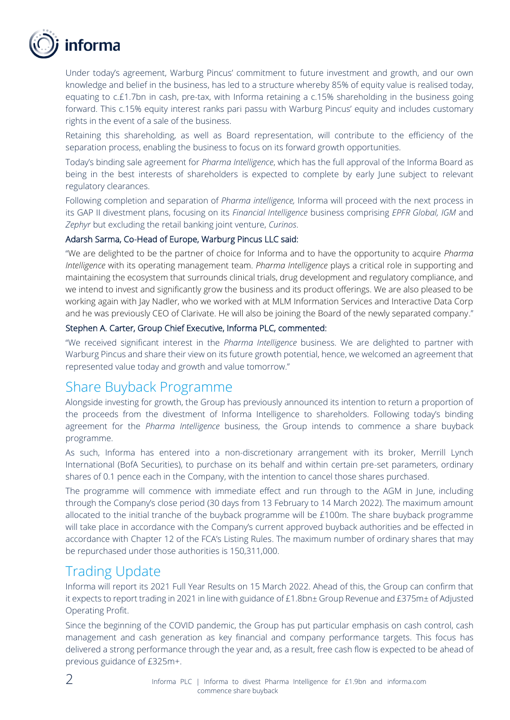

Under today's agreement, Warburg Pincus' commitment to future investment and growth, and our own knowledge and belief in the business, has led to a structure whereby 85% of equity value is realised today, equating to c.£1.7bn in cash, pre-tax, with Informa retaining a c.15% shareholding in the business going forward. This c.15% equity interest ranks pari passu with Warburg Pincus' equity and includes customary rights in the event of a sale of the business.

Retaining this shareholding, as well as Board representation, will contribute to the efficiency of the separation process, enabling the business to focus on its forward growth opportunities.

Today's binding sale agreement for *Pharma Intelligence*, which has the full approval of the Informa Board as being in the best interests of shareholders is expected to complete by early June subject to relevant regulatory clearances.

Following completion and separation of *Pharma intelligence,* Informa will proceed with the next process in its GAP II divestment plans, focusing on its *Financial Intelligence* business comprising *EPFR Global, IGM* and *Zephyr* but excluding the retail banking joint venture, *Curinos*.

#### Adarsh Sarma, Co-Head of Europe, Warburg Pincus LLC said:

"We are delighted to be the partner of choice for Informa and to have the opportunity to acquire *Pharma Intelligence* with its operating management team. *Pharma Intelligence* plays a critical role in supporting and maintaining the ecosystem that surrounds clinical trials, drug development and regulatory compliance, and we intend to invest and significantly grow the business and its product offerings. We are also pleased to be working again with Jay Nadler, who we worked with at MLM Information Services and Interactive Data Corp and he was previously CEO of Clarivate. He will also be joining the Board of the newly separated company."

#### Stephen A. Carter, Group Chief Executive, Informa PLC, commented:

"We received significant interest in the *Pharma Intelligence* business. We are delighted to partner with Warburg Pincus and share their view on its future growth potential, hence, we welcomed an agreement that represented value today and growth and value tomorrow."

### Share Buyback Programme

Alongside investing for growth, the Group has previously announced its intention to return a proportion of the proceeds from the divestment of Informa Intelligence to shareholders. Following today's binding agreement for the *Pharma Intelligence* business, the Group intends to commence a share buyback programme.

As such, Informa has entered into a non-discretionary arrangement with its broker, Merrill Lynch International (BofA Securities), to purchase on its behalf and within certain pre-set parameters, ordinary shares of 0.1 pence each in the Company, with the intention to cancel those shares purchased.

The programme will commence with immediate effect and run through to the AGM in June, including through the Company's close period (30 days from 13 February to 14 March 2022). The maximum amount allocated to the initial tranche of the buyback programme will be £100m. The share buyback programme will take place in accordance with the Company's current approved buyback authorities and be effected in accordance with Chapter 12 of the FCA's Listing Rules. The maximum number of ordinary shares that may be repurchased under those authorities is 150,311,000.

# Trading Update

Informa will report its 2021 Full Year Results on 15 March 2022. Ahead of this, the Group can confirm that it expects to report trading in 2021 in line with guidance of £1.8bn± Group Revenue and £375m± of Adjusted Operating Profit.

Since the beginning of the COVID pandemic, the Group has put particular emphasis on cash control, cash management and cash generation as key financial and company performance targets. This focus has delivered a strong performance through the year and, as a result, free cash flow is expected to be ahead of previous guidance of £325m+.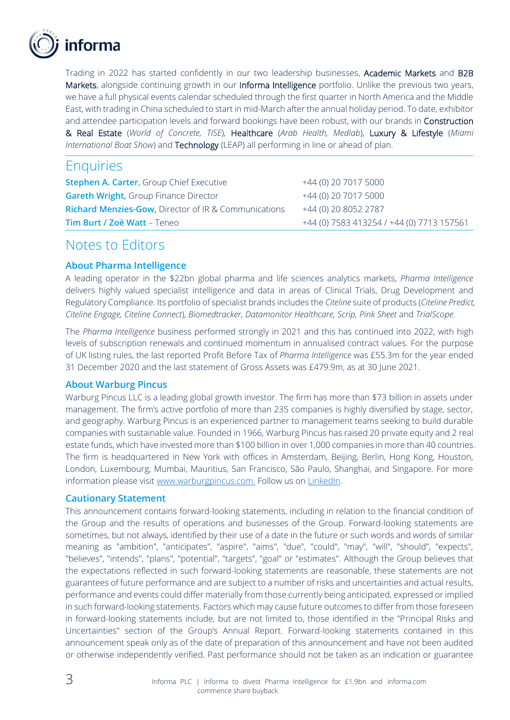

Trading in 2022 has started confidently in our two leadership businesses, Academic Markets and B2B Markets, alongside continuing growth in our Informa Intelligence portfolio. Unlike the previous two years, we have a full physical events calendar scheduled through the first quarter in North America and the Middle East, with trading in China scheduled to start in mid-March after the annual holiday period. To date, exhibitor and attendee participation levels and forward bookings have been robust, with our brands in Construction & Real Estate (*World of Concrete, TISE*), Healthcare (*Arab Health, Medlab*), Luxury & Lifestyle (*Miami International Boat Show*) and Technology (LEAP) all performing in line or ahead of plan.

### **Enquiries**

| <b>Stephen A. Carter, Group Chief Executive</b>                 | +44 (0) 20 7017 5000                      |
|-----------------------------------------------------------------|-------------------------------------------|
| <b>Gareth Wright, Group Finance Director</b>                    | +44 (0) 20 7017 5000                      |
| <b>Richard Menzies-Gow, Director of IR &amp; Communications</b> | +44 (0) 20 8052 2787                      |
| <b>Tim Burt / Zoë Watt – Teneo</b>                              | +44 (0) 7583 413254 / +44 (0) 7713 157561 |

# Notes to Editors

#### **About Pharma Intelligence**

A leading operator in the \$22bn global pharma and life sciences analytics markets, *Pharma Intelligence* delivers highly valued specialist intelligence and data in areas of Clinical Trials, Drug Development and Regulatory Compliance. Its portfolio of specialist brands includes the *Citeline* suite of products (*Citeline Predict, Citeline Engage, Citeline Connect*), *Biomedtracker, Datamonitor Healthcare, Scrip, Pink Sheet* and *TrialScope*.

The *Pharma Intelligence* business performed strongly in 2021 and this has continued into 2022, with high levels of subscription renewals and continued momentum in annualised contract values. For the purpose of UK listing rules, the last reported Profit Before Tax of *Pharma Intelligence* was £55.3m for the year ended 31 December 2020 and the last statement of Gross Assets was £479.9m, as at 30 June 2021.

#### **About Warburg Pincus**

Warburg Pincus LLC is a leading global growth investor. The firm has more than \$73 billion in assets under management. The firm's active portfolio of more than 235 companies is highly diversified by stage, sector, and geography. Warburg Pincus is an experienced partner to management teams seeking to build durable companies with sustainable value. Founded in 1966, Warburg Pincus has raised 20 private equity and 2 real estate funds, which have invested more than \$100 billion in over 1,000 companies in more than 40 countries. The firm is headquartered in New York with offices in Amsterdam, Beijing, Berlin, Hong Kong, Houston, London, Luxembourg, Mumbai, Mauritius, San Francisco, São Paulo, Shanghai, and Singapore. For more information please visit [www.warburgpincus.com.](http://www.warburgpincus.com./) Follow us on [LinkedIn.](https://protect-us.mimecast.com/s/eAwsCn5YzpcXWmJl5iJebIr?domain=linkedin.com)

#### **Cautionary Statement**

This announcement contains forward-looking statements, including in relation to the financial condition of the Group and the results of operations and businesses of the Group. Forward-looking statements are sometimes, but not always, identified by their use of a date in the future or such words and words of similar meaning as "ambition", "anticipates", "aspire", "aims", "due", "could", "may", "will", "should", "expects", "believes", "intends", "plans", "potential", "targets", "goal" or "estimates". Although the Group believes that the expectations reflected in such forward-looking statements are reasonable, these statements are not guarantees of future performance and are subject to a number of risks and uncertainties and actual results, performance and events could differ materially from those currently being anticipated, expressed or implied in such forward-looking statements. Factors which may cause future outcomes to differ from those foreseen in forward-looking statements include, but are not limited to, those identified in the "Principal Risks and Uncertainties" section of the Group's Annual Report. Forward-looking statements contained in this announcement speak only as of the date of preparation of this announcement and have not been audited or otherwise independently verified. Past performance should not be taken as an indication or guarantee